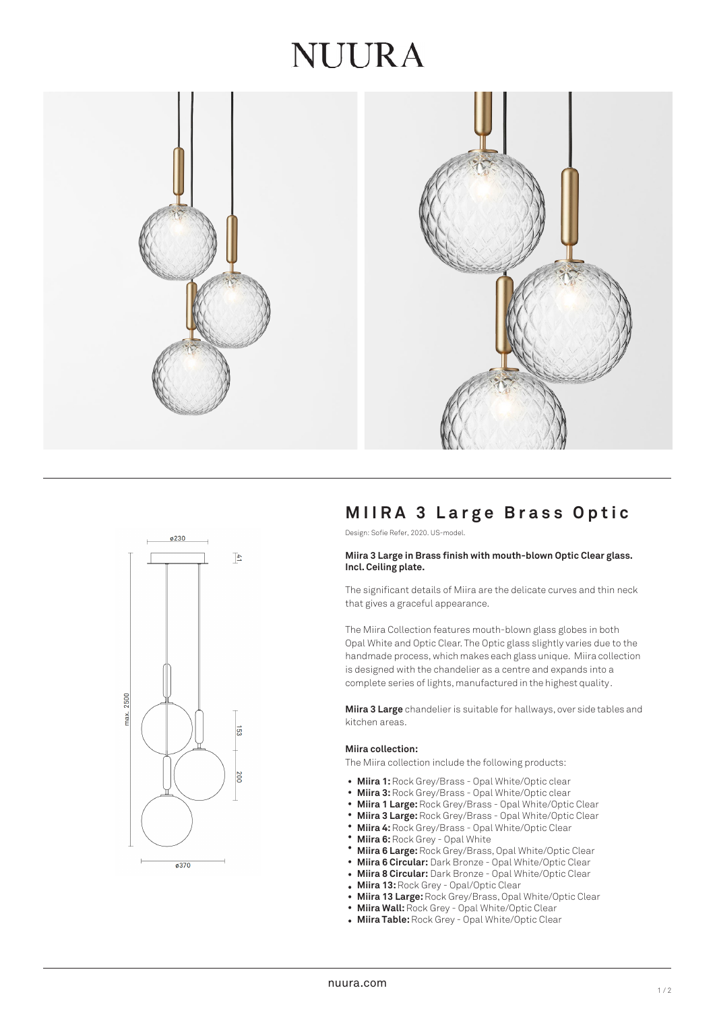## NUIRA





## **MIIRA 3 L arge Brass Optic**

Design: Sofie Refer, 2020. US-model.

#### **Miira 3 Large in Brass finish with mouth-blown Optic Clear glass. Incl. Ceiling plate.**

The significant details of Miira are the delicate curves and thin neck that gives a graceful appearance.

The Miira Collection features mouth-blown glass globes in both Opal White and Optic Clear. The Optic glass slightly varies due to the handmade process, which makes each glass unique. Miira collection is designed with the chandelier as a centre and expands into a complete series of lights, manufactured in the highest quality.

**Miira 3 Large** chandelier is suitable for hallways, over side tables and kitchen areas.

#### **Miira collection:**

The Miira collection include the following products:

- Miira 1: Rock Grey/Brass Opal White/Optic clear
- Miira 3: Rock Grey/Brass Opal White/Optic clear
- **Miira 1 Large:** Rock Grey/Brass Opal White/Optic Clear •
- **Miira 3 Large:** Rock Grey/Brass Opal White/Optic Clear •
- **Miira 4:** Rock Grey/Brass Opal White/Optic Clear • •
- **Miira 6: Rock Grey Opal White**
- **Miira 6 Large:** Rock Grey/Brass, Opal White/Optic Clear •
- **Miira 6 Circular:** Dark Bronze Opal White/Optic Clear •
- **Miira 8 Circular:** Dark Bronze Opal White/Optic Clear •
- **Miira 13:** Rock Grey Opal/Optic Clear
- **Miira 13 Large:** Rock Grey/Brass, Opal White/Optic Clear •
- **Miira Wall:** Rock Grey Opal White/Optic Clear •
- **Miira Table:** Rock Grey Opal White/Optic Clear •